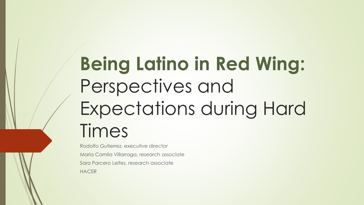# **Being Latino in Red Wing:**  Perspectives and Expectations during Hard Times

Rodolfo Gutierrez, executive director Maria Camila Villarraga, research associate Sara Parcero Leites, research associate **HACER**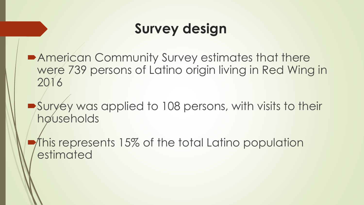## **Survey design**

■American Community Survey estimates that there were 739 persons of Latino origin living in Red Wing in 2016

Survey was applied to 108 persons, with visits to their households

This represents 15% of the total Latino population estimated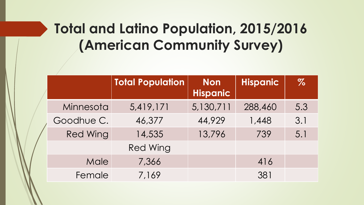## **Total and Latino Population, 2015/2016 (American Community Survey)**

|  |                 | <b>Total Population</b> | <b>Non</b><br><b>Hispanic</b> | <b>Hispanic</b> | $\%$ |
|--|-----------------|-------------------------|-------------------------------|-----------------|------|
|  | Minnesota       | 5,419,171               | 5,130,711                     | 288,460         | 5.3  |
|  | Goodhue C.      | 46,377                  | 44,929                        | 1,448           | 3.1  |
|  | <b>Red Wing</b> | 14,535                  | 13,796                        | 739             | 5.1  |
|  |                 | <b>Red Wing</b>         |                               |                 |      |
|  | Male            | 7,366                   |                               | 416             |      |
|  | Female          | 7,169                   |                               | 381             |      |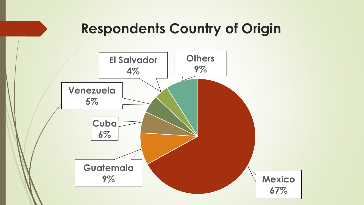#### **Respondents Country of Origin**

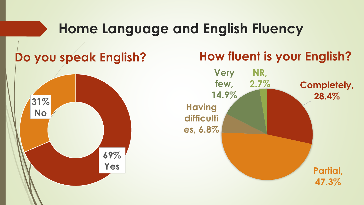#### **Home Language and English Fluency**



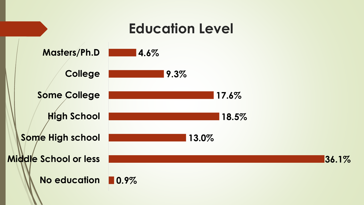#### **Education Level**

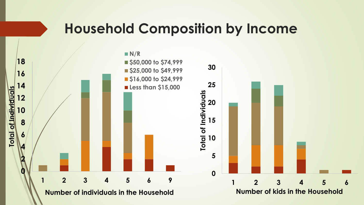#### **Household Composition by Income**

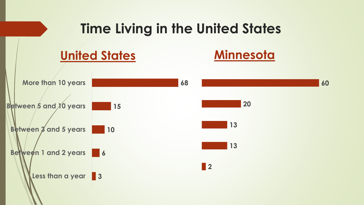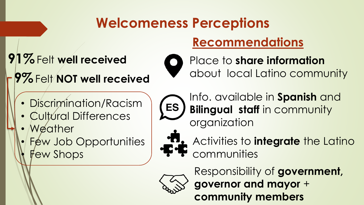## **Welcomeness Perceptions**

#### **Recommendations**

## **91%**Felt **well received**

**9%**Felt **NOT well received**



Place to **share information**  about local Latino community

- Discrimination/Racism
- Cultural Differences
- Weather
- Few Job Opportunities Few Shops

Info. available in **Spanish** and **Bilingual staff** in community organization



**ES** 

Activities to **integrate** the Latino communities



Responsibility of **government, governor and mayor** + **community members**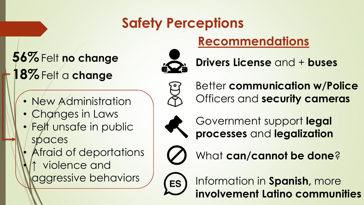## **Safety Perceptions**

## **56%**Felt **no change 18%**Felt a **change**



**Drivers License** and + **buses**

**Recommendations**



Better **communication w/Police**  Officers and **security cameras**



Government support **legal processes** and **legalization**



What **can/cannot be done**?



Information in **Spanish,** more **involvement Latino communities**

- New Administration
- Changes in Laws
- Felt unsafe in public spaces
- Afraid of deportations • **↑** violence and aggressive behaviors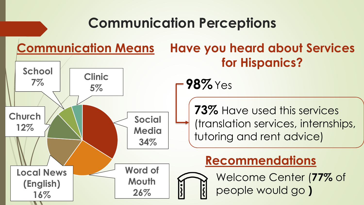#### **Communication Perceptions Communication Means Have you heard about Services for Hispanics? Social Media 34% Word of Mouth 26% Local News (English) 16% Church 12% School 7% Clinic 5% 98%**Yes **73%** Have used this services (translation services, internships, tutoring and rent advice) **Recommendations** Welcome Center (**77%** of people would go **)**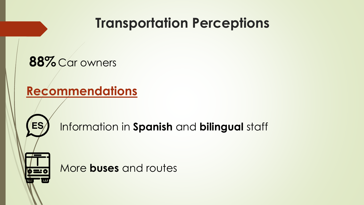## **Transportation Perceptions**



#### **Recommendations**



Information in **Spanish** and **bilingual** staff

More **buses** and routes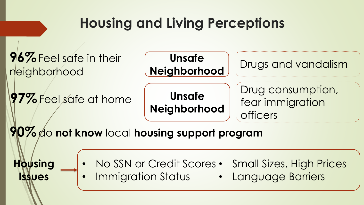## **Housing and Living Perceptions**

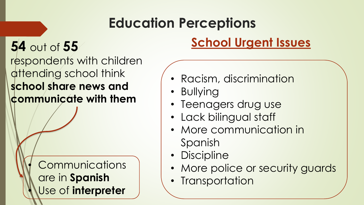## **Education Perceptions**

## **54** out of **55**

respondents with children attending school think **school share news and communicate with them**

> **Communications** are in **Spanish** • Use of **interpreter**

#### **School Urgent Issues**

- Racism, discrimination
- Bullying
- Teenagers drug use
- Lack bilingual staff
- More communication in Spanish
- Discipline
- More police or security guards
- Transportation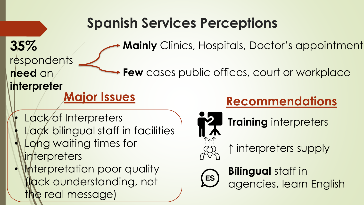## **Spanish Services Perceptions**

**Mainly** Clinics, Hospitals, Doctor's appointment

respondents **need** an

**35%** 

Few cases public offices, court or workplace

**interpreter Major Issues**

- Lack/of Interpreters
- Lack bilingual staff in facilities
- Long waiting times for interpreters
- Interpretation poor quality (lack ounderstanding, not the real message)

#### **Recommendations**



**Training** interpreters



**↑** interpreters supply

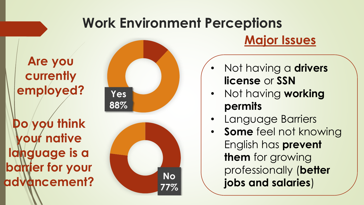## **Work Environment Perceptions**

#### **Are you currently employed?**

**Do you think your native language is a barrier for your advancement?**





#### **Major Issues**

- Not having a **drivers license** or **SSN**
- Not having **working permits**
- Language Barriers
- **Some** feel not knowing English has **prevent them** for growing professionally (**better jobs and salaries**)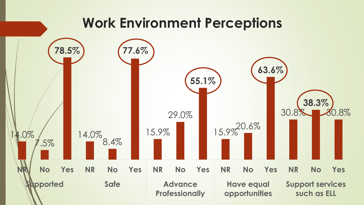#### **Work Environment Perceptions**

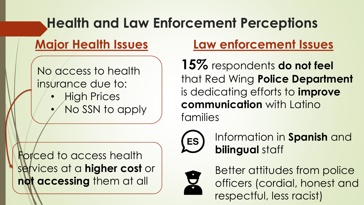## **Health and Law Enforcement Perceptions**

#### **Major Health Issues**

No access to health insurance due to:

- **High Prices**
- No SSN to apply

**Law enforcement Issues**

**15%** respondents **do not feel**  that Red Wing **Police Department**  is dedicating efforts to **improve communication** with Latino families



Information in **Spanish** and **bilingual** staff



Better attitudes from police officers (cordial, honest and respectful, less racist)

Forced to access health services at a **higher cost** or **not accessing** them at all